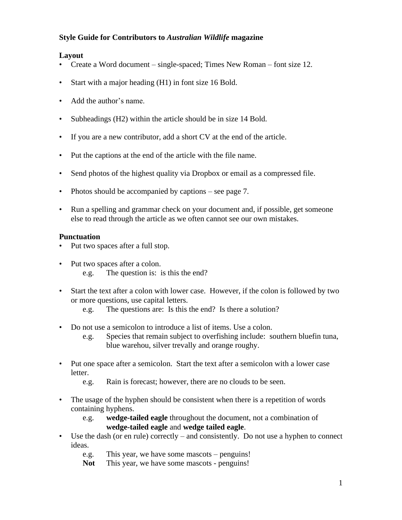#### **Style Guide for Contributors to** *Australian Wildlife* **magazine**

#### **Layout**

- Create a Word document single-spaced; Times New Roman font size 12.
- Start with a major heading (H1) in font size 16 Bold.
- Add the author's name.
- Subheadings (H2) within the article should be in size 14 Bold.
- If you are a new contributor, add a short CV at the end of the article.
- Put the captions at the end of the article with the file name.
- Send photos of the highest quality via Dropbox or email as a compressed file.
- Photos should be accompanied by captions see page 7.
- Run a spelling and grammar check on your document and, if possible, get someone else to read through the article as we often cannot see our own mistakes.

#### **Punctuation**

- Put two spaces after a full stop.
- Put two spaces after a colon. e.g. The question is: is this the end?
- Start the text after a colon with lower case. However, if the colon is followed by two or more questions, use capital letters.
	- e.g. The questions are: Is this the end? Is there a solution?
- Do not use a semicolon to introduce a list of items. Use a colon.
	- e.g. Species that remain subject to overfishing include: southern bluefin tuna, blue warehou, silver trevally and orange roughy.
- Put one space after a semicolon. Start the text after a semicolon with a lower case letter.
	- e.g. Rain is forecast; however, there are no clouds to be seen.
- The usage of the hyphen should be consistent when there is a repetition of words containing hyphens.
	- e.g. **wedge-tailed eagle** throughout the document, not a combination of **wedge-tailed eagle** and **wedge tailed eagle**.
- Use the dash (or en rule) correctly and consistently. Do not use a hyphen to connect ideas.
	- e.g. This year, we have some mascots penguins!
	- Not This year, we have some mascots penguins!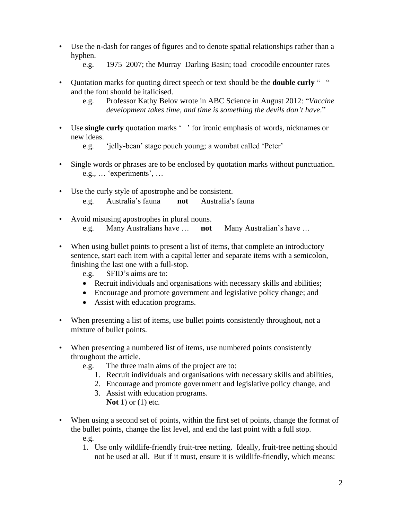- Use the n-dash for ranges of figures and to denote spatial relationships rather than a hyphen.
	- e.g. 1975–2007; the Murray–Darling Basin; toad–crocodile encounter rates
- Quotation marks for quoting direct speech or text should be the **double curly** " " and the font should be italicised.
	- e.g. Professor Kathy Belov wrote in ABC Science in August 2012: "*Vaccine development takes time, and time is something the devils don't have*."
- Use **single curly** quotation marks ' ' for ironic emphasis of words, nicknames or new ideas.

e.g. 'jelly-bean' stage pouch young; a wombat called 'Peter'

- Single words or phrases are to be enclosed by quotation marks without punctuation. e.g., … 'experiments', …
- Use the curly style of apostrophe and be consistent. e.g. Australia's fauna **not** Australia's fauna
- Avoid misusing apostrophes in plural nouns. e.g. Many Australians have … **not** Many Australian's have …
- When using bullet points to present a list of items, that complete an introductory sentence, start each item with a capital letter and separate items with a semicolon, finishing the last one with a full-stop.
	- e.g. SFID's aims are to:
	- Recruit individuals and organisations with necessary skills and abilities;
	- Encourage and promote government and legislative policy change; and
	- Assist with education programs.
- When presenting a list of items, use bullet points consistently throughout, not a mixture of bullet points.
- When presenting a numbered list of items, use numbered points consistently throughout the article.
	- e.g. The three main aims of the project are to:
		- 1. Recruit individuals and organisations with necessary skills and abilities,
		- 2. Encourage and promote government and legislative policy change, and
		- 3. Assist with education programs. **Not** 1) or (1) etc.
- When using a second set of points, within the first set of points, change the format of the bullet points, change the list level, and end the last point with a full stop. e.g.
	- 1. Use only wildlife-friendly fruit-tree netting. Ideally, fruit-tree netting should not be used at all. But if it must, ensure it is wildlife-friendly, which means: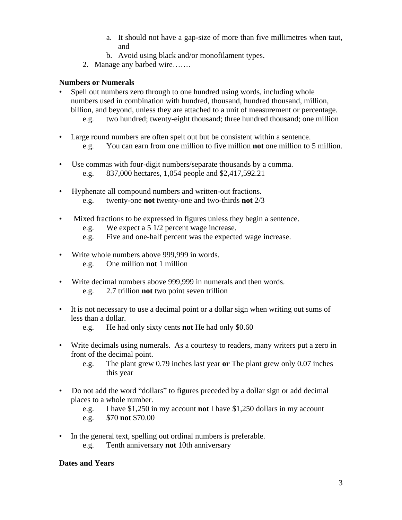- a. It should not have a gap-size of more than five millimetres when taut, and
- b. Avoid using black and/or monofilament types.
- 2. Manage any barbed wire…….

## **Numbers or Numerals**

- Spell out numbers zero through to one hundred using words, including whole numbers used in combination with hundred, thousand, hundred thousand, million, billion, and beyond, unless they are attached to a unit of measurement or percentage.
	- e.g. two hundred; twenty-eight thousand; three hundred thousand; one million
- Large round numbers are often spelt out but be consistent within a sentence. e.g. You can earn from one million to five million **not** one million to 5 million.
- Use commas with four-digit numbers/separate thousands by a comma. e.g. 837,000 hectares, 1,054 people and \$2,417,592.21
- Hyphenate all compound numbers and written-out fractions. e.g. twenty-one **not** twenty-one and two-thirds **not** 2/3
- Mixed fractions to be expressed in figures unless they begin a sentence.
	- e.g. We expect a 5 1/2 percent wage increase.
	- e.g. Five and one-half percent was the expected wage increase.
- Write whole numbers above 999,999 in words. e.g. One million **not** 1 million
- Write decimal numbers above 999,999 in numerals and then words. e.g. 2.7 trillion **not** two point seven trillion
- It is not necessary to use a decimal point or a dollar sign when writing out sums of less than a dollar.
	- e.g. He had only sixty cents **not** He had only \$0.60
- Write decimals using numerals. As a courtesy to readers, many writers put a zero in front of the decimal point.
	- e.g. The plant grew 0.79 inches last year **or** The plant grew only 0.07 inches this year
- Do not add the word "dollars" to figures preceded by a dollar sign or add decimal places to a whole number.
	- e.g. I have \$1,250 in my account **not** I have \$1,250 dollars in my account
	- e.g. \$70 **not** \$70.00
- In the general text, spelling out ordinal numbers is preferable.
	- e.g. Tenth anniversary **not** 10th anniversary

#### **Dates and Years**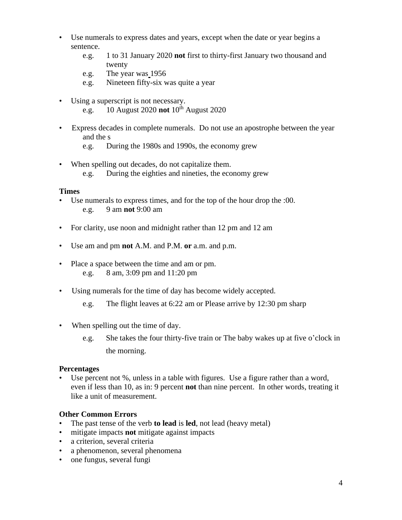- Use numerals to express dates and years, except when the date or year begins a sentence.
	- e.g. 1 to 31 January 2020 **not** first to thirty-first January two thousand and twenty
	- e.g. The year was 1956
	- e.g. Nineteen fifty-six was quite a year
- Using a superscript is not necessary. e.g. 10 August 2020 **not** 10<sup>th</sup> August 2020
- Express decades in complete numerals. Do not use an apostrophe between the year and the s
	- e.g. During the 1980s and 1990s, the economy grew
- When spelling out decades, do not capitalize them. e.g. During the eighties and nineties, the economy grew

#### **Times**

- Use numerals to express times, and for the top of the hour drop the :00. e.g. 9 am **not** 9:00 am
- For clarity, use noon and midnight rather than 12 pm and 12 am
- Use am and pm **not** A.M. and P.M. **or** a.m. and p.m.
- Place a space between the time and am or pm. e.g. 8 am, 3:09 pm and 11:20 pm
- Using numerals for the time of day has become widely accepted.
	- e.g. The flight leaves at 6:22 am or Please arrive by 12:30 pm sharp
- When spelling out the time of day.
	- e.g. She takes the four thirty-five train or The baby wakes up at five o'clock in the morning.

#### **Percentages**

• Use percent not %, unless in a table with figures. Use a figure rather than a word, even if less than 10, as in: 9 percent **not** than nine percent. In other words, treating it like a unit of measurement.

## **Other Common Errors**

- The past tense of the verb **to lead** is **led**, not lead (heavy metal)
- mitigate impacts **not** mitigate against impacts
- a criterion, several criteria
- a phenomenon, several phenomena
- one fungus, several fungi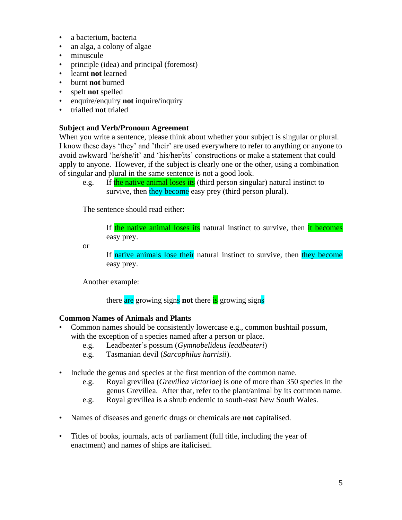- a bacterium, bacteria
- an alga, a colony of algae
- minuscule
- principle (idea) and principal (foremost)
- learnt **not** learned
- burnt **not** burned
- spelt **not** spelled
- enquire/enquiry **not** inquire/inquiry
- trialled **not** trialed

#### **Subject and Verb/Pronoun Agreement**

When you write a sentence, please think about whether your subject is singular or plural. I know these days 'they' and 'their' are used everywhere to refer to anything or anyone to avoid awkward 'he/she/it' and 'his/her/its' constructions or make a statement that could apply to anyone. However, if the subject is clearly one or the other, using a combination of singular and plural in the same sentence is not a good look.

e.g. If the native animal loses its (third person singular) natural instinct to survive, then they become easy prey (third person plural).

The sentence should read either:

If the native animal loses its natural instinct to survive, then it becomes easy prey.

or

If native animals lose their natural instinct to survive, then they become easy prey.

Another example:

there are growing signs **not** there is growing signs

## **Common Names of Animals and Plants**

- Common names should be consistently lowercase e.g., common bushtail possum, with the exception of a species named after a person or place.
	- e.g. Leadbeater's possum (*Gymnobelideus leadbeateri*)
	- e.g. Tasmanian devil (*Sarcophilus harrisii*).
- Include the genus and species at the first mention of the common name.
	- e.g. Royal grevillea (*Grevillea victoriae*) is one of more than 350 species in the genus Grevillea. After that, refer to the plant/animal by its common name.
	- e.g. Royal grevillea is a shrub endemic to south-east New South Wales.
- Names of diseases and generic drugs or chemicals are **not** capitalised.
- Titles of books, journals, acts of parliament (full title, including the year of enactment) and names of ships are italicised.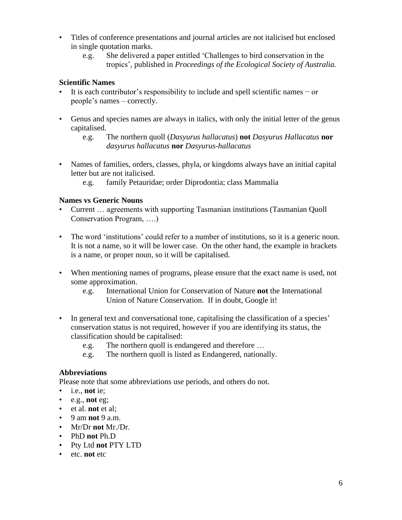- Titles of conference presentations and journal articles are not italicised but enclosed in single quotation marks.
	- e.g. She delivered a paper entitled 'Challenges to bird conservation in the tropics', published in *Proceedings of the Ecological Society of Australia.*

# **Scientific Names**

- It is each contributor's responsibility to include and spell scientific names − or people's names – correctly.
- Genus and species names are always in italics, with only the initial letter of the genus capitalised.
	- e.g. The northern quoll (*Dasyurus hallacatus*) **not** *Dasyurus Hallacatus* **nor** *dasyurus hallacatus* **nor** *Dasyurus-hallacatus*
- Names of families, orders, classes, phyla, or kingdoms always have an initial capital letter but are not italicised.
	- e.g. family Petauridae; order Diprodontia; class Mammalia

# **Names vs Generic Nouns**

- Current … agreements with supporting Tasmanian institutions (Tasmanian Quoll Conservation Program, ….)
- The word 'institutions' could refer to a number of institutions, so it is a generic noun. It is not a name, so it will be lower case. On the other hand, the example in brackets is a name, or proper noun, so it will be capitalised.
- When mentioning names of programs, please ensure that the exact name is used, not some approximation.
	- e.g. International Union for Conservation of Nature **not** the International Union of Nature Conservation. If in doubt, Google it!
- In general text and conversational tone, capitalising the classification of a species' conservation status is not required, however if you are identifying its status, the classification should be capitalised:
	- e.g. The northern quoll is endangered and therefore …
	- e.g. The northern quoll is listed as Endangered, nationally.

# **Abbreviations**

Please note that some abbreviations use periods, and others do not.

- i.e., **not** ie;
- e.g., **not** eg;
- et al. **not** et al;
- 9 am **not** 9 a.m.
- Mr/Dr **not** Mr./Dr.
- PhD **not** Ph.D
- Pty Ltd **not** PTY LTD
- etc. **not** etc